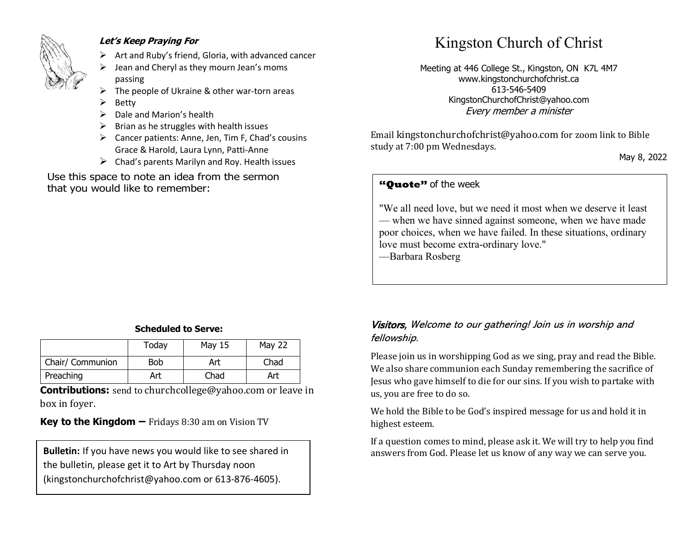

#### **Let's Keep Praying For**

- ➢ Art and Ruby's friend, Gloria, with advanced cancer
- ➢ Jean and Cheryl as they mourn Jean's moms passing
- The people of Ukraine & other war-torn areas
- **Betty**
- ➢ Dale and Marion's health
- $\triangleright$  Brian as he struggles with health issues
- ➢ Cancer patients: Anne, Jen, Tim F, Chad's cousins Grace & Harold, Laura Lynn, Patti-Anne
- $\triangleright$  Chad's parents Marilyn and Roy. Health issues

Use this space to note an idea from the sermon that you would like to remember:

## Kingston Church of Christ

Meeting at 446 College St., Kingston, ON K7L 4M7 www.kingstonchurchofchrist.ca 613-546-5409 KingstonChurchofChrist@yahoo.com Every member a minister

Email [kingstonchurchofchrist@yahoo.com](mailto:kingstonchurchofchrist@yahoo.com) for zoom link to Bible study at 7:00 pm Wednesdays.

May 8, 2022

#### **"Quote"** of the week **"Quote"** of the week

 $\frac{1}{\sqrt{1-\frac{1}{\sqrt{1-\frac{1}{\sqrt{1-\frac{1}{\sqrt{1-\frac{1}{\sqrt{1-\frac{1}{\sqrt{1-\frac{1}{\sqrt{1-\frac{1}{\sqrt{1-\frac{1}{\sqrt{1-\frac{1}{\sqrt{1-\frac{1}{\sqrt{1-\frac{1}{\sqrt{1-\frac{1}{\sqrt{1-\frac{1}{\sqrt{1-\frac{1}{\sqrt{1-\frac{1}{\sqrt{1-\frac{1}{\sqrt{1-\frac{1}{\sqrt{1-\frac{1}{\sqrt{1-\frac{1}{\sqrt{1-\frac{1}{\sqrt{1-\frac{1}{\sqrt{1-\frac{1}{\sqrt{1-\frac{1}{\sqrt{1-\frac{1$ "We all need love, but we need it most when we deserve it least — when we have sinned against someone, when we have made poor choices, when we have failed. In these situations, ordinary love must become extra-ordinary love."

—Barbara Rosberg

. .

. .

. .

. .

. .

#### **Scheduled to Serve:**

|                  | Today | May 15 | May 22 |
|------------------|-------|--------|--------|
| Chair/ Communion | Bob   | Art    | Chad   |
| Preaching        | Art   | Chad   | Art    |

**Contributions:** send to [churchcollege@yahoo.com](mailto:churchcollege@yahoo.com) or leave in box in foyer.

**Key to the Kingdom –** Fridays 8:30 am on Vision TV

the bulletin, please get it to Art by Thursday noon (kingstonchurchofchrist@yahoo.com or 613-876-4605).

#### Visitors, Welcome to our gathering! Join us in worship and fellowship.

Please join us in worshipping God as we sing, pray and read the Bible. We also share communion each Sunday remembering the sacrifice of Jesus who gave himself to die for our sins. If you wish to partake with us, you are free to do so.

We hold the Bible to be God's inspired message for us and hold it in highest esteem.

If a question comes to mind, please ask it. We will try to help you find **Bulletin:** If you have news you would like to see shared in answers from God. Please let us know of any way we can serve you.